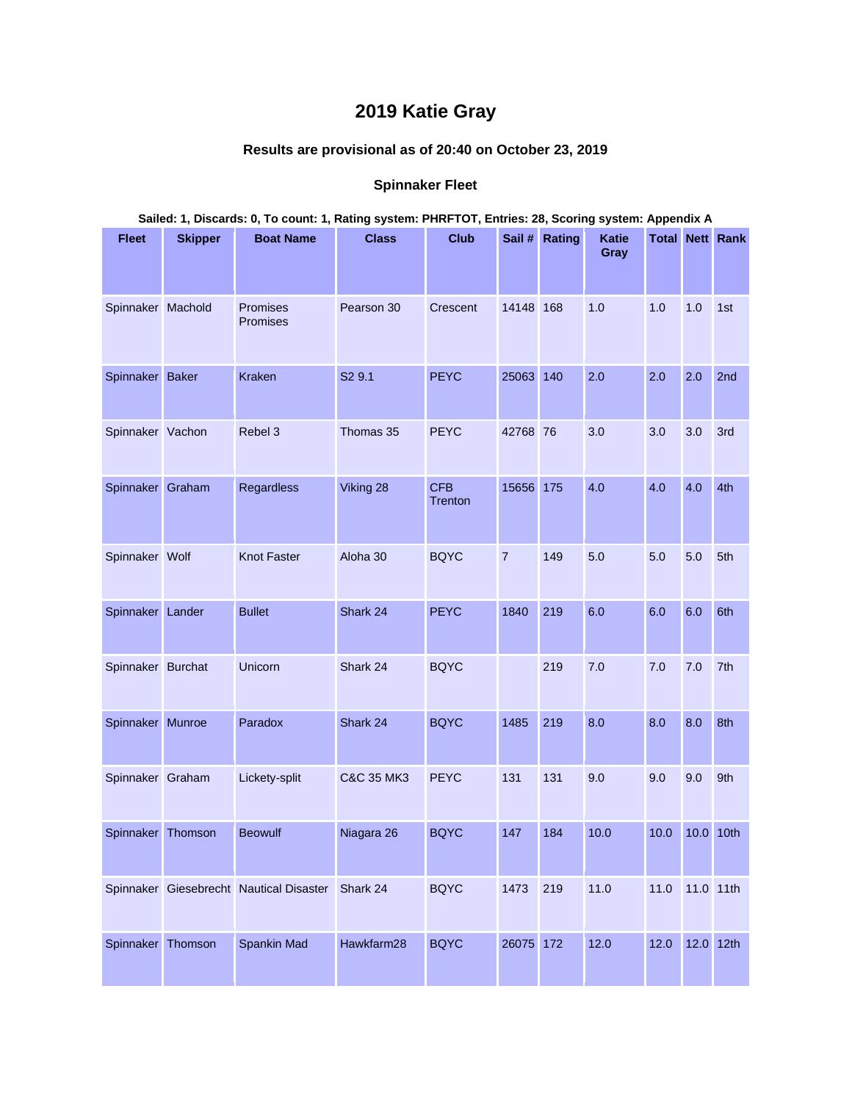## **2019 Katie Gray**

## **Results are provisional as of 20:40 on October 23, 2019**

## **Spinnaker Fleet**

| Sailed: 1, Discards: 0, To count: 1, Rating system: PHRFTOT, Entries: 28, Scoring system: Appendix A |                |                                                  |                       |                       |                |               |                      |      |           |                        |
|------------------------------------------------------------------------------------------------------|----------------|--------------------------------------------------|-----------------------|-----------------------|----------------|---------------|----------------------|------|-----------|------------------------|
| <b>Fleet</b>                                                                                         | <b>Skipper</b> | <b>Boat Name</b>                                 | <b>Class</b>          | <b>Club</b>           |                | Sail # Rating | <b>Katie</b><br>Gray |      |           | <b>Total Nett Rank</b> |
| Spinnaker Machold                                                                                    |                | Promises<br>Promises                             | Pearson 30            | Crescent              | 14148 168      |               | 1.0                  | 1.0  | 1.0       | 1st                    |
| Spinnaker Baker                                                                                      |                | <b>Kraken</b>                                    | S2 9.1                | <b>PEYC</b>           | 25063 140      |               | 2.0                  | 2.0  | 2.0       | 2nd                    |
| Spinnaker Vachon                                                                                     |                | Rebel 3                                          | Thomas 35             | <b>PEYC</b>           | 42768 76       |               | 3.0                  | 3.0  | 3.0       | 3rd                    |
| Spinnaker Graham                                                                                     |                | <b>Regardless</b>                                | Viking 28             | <b>CFB</b><br>Trenton | 15656 175      |               | 4.0                  | 4.0  | 4.0       | 4th                    |
| Spinnaker Wolf                                                                                       |                | <b>Knot Faster</b>                               | Aloha 30              | <b>BQYC</b>           | $\overline{7}$ | 149           | 5.0                  | 5.0  | 5.0       | 5th                    |
| Spinnaker Lander                                                                                     |                | <b>Bullet</b>                                    | Shark 24              | <b>PEYC</b>           | 1840           | 219           | 6.0                  | 6.0  | 6.0       | 6th                    |
| Spinnaker Burchat                                                                                    |                | Unicorn                                          | Shark 24              | <b>BQYC</b>           |                | 219           | 7.0                  | 7.0  | 7.0       | 7th                    |
| Spinnaker Munroe                                                                                     |                | Paradox                                          | Shark 24              | <b>BQYC</b>           | 1485           | 219           | 8.0                  | 8.0  | 8.0       | 8th                    |
| Spinnaker Graham                                                                                     |                | Lickety-split                                    | <b>C&amp;C 35 MK3</b> | <b>PEYC</b>           | 131            | 131           | 9.0                  | 9.0  | 9.0       | 9th                    |
| Spinnaker Thomson                                                                                    |                | <b>Beowulf</b>                                   | Niagara 26            | <b>BQYC</b>           | 147            | 184           | 10.0                 | 10.0 | 10.0 10th |                        |
|                                                                                                      |                | Spinnaker Giesebrecht Nautical Disaster Shark 24 |                       | <b>BQYC</b>           | 1473           | 219           | 11.0                 | 11.0 | 11.0 11th |                        |
| Spinnaker Thomson                                                                                    |                | <b>Spankin Mad</b>                               | Hawkfarm28            | <b>BQYC</b>           | 26075 172      |               | 12.0                 | 12.0 | 12.0 12th |                        |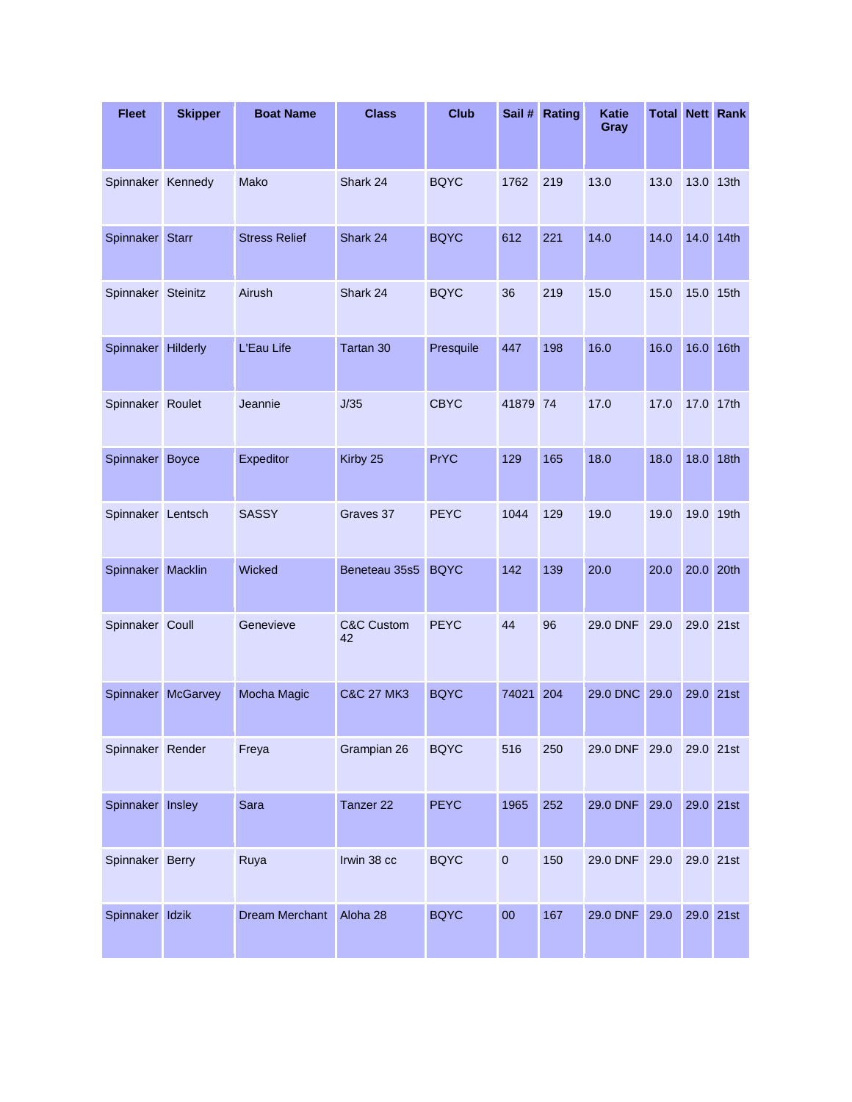| <b>Fleet</b>       | <b>Skipper</b>     | <b>Boat Name</b>      | <b>Class</b>                | <b>Club</b> | Sail #       | Rating | <b>Katie</b><br>Gray |      |           | <b>Total Nett Rank</b> |
|--------------------|--------------------|-----------------------|-----------------------------|-------------|--------------|--------|----------------------|------|-----------|------------------------|
| Spinnaker Kennedy  |                    | Mako                  | Shark 24                    | <b>BQYC</b> | 1762         | 219    | 13.0                 | 13.0 | 13.0 13th |                        |
| Spinnaker Starr    |                    | <b>Stress Relief</b>  | Shark 24                    | <b>BQYC</b> | 612          | 221    | 14.0                 | 14.0 | 14.0 14th |                        |
| Spinnaker Steinitz |                    | Airush                | Shark 24                    | <b>BQYC</b> | 36           | 219    | 15.0                 | 15.0 | 15.0 15th |                        |
| Spinnaker Hilderly |                    | L'Eau Life            | Tartan 30                   | Presquile   | 447          | 198    | 16.0                 | 16.0 | 16.0 16th |                        |
| Spinnaker Roulet   |                    | Jeannie               | J/35                        | <b>CBYC</b> | 41879 74     |        | 17.0                 | 17.0 | 17.0 17th |                        |
| Spinnaker Boyce    |                    | Expeditor             | Kirby 25                    | <b>PrYC</b> | 129          | 165    | 18.0                 | 18.0 | 18.0      | 18th                   |
| Spinnaker Lentsch  |                    | <b>SASSY</b>          | Graves 37                   | <b>PEYC</b> | 1044         | 129    | 19.0                 | 19.0 | 19.0 19th |                        |
| Spinnaker Macklin  |                    | Wicked                | Beneteau 35s5               | <b>BQYC</b> | 142          | 139    | 20.0                 | 20.0 | 20.0 20th |                        |
| Spinnaker Coull    |                    | Genevieve             | <b>C&amp;C Custom</b><br>42 | <b>PEYC</b> | 44           | 96     | 29.0 DNF             | 29.0 | 29.0 21st |                        |
|                    | Spinnaker McGarvey | Mocha Magic           | <b>C&amp;C 27 MK3</b>       | <b>BQYC</b> | 74021        | 204    | 29.0 DNC             | 29.0 | 29.0 21st |                        |
| Spinnaker Render   |                    | Freya                 | Grampian 26                 | <b>BQYC</b> | 516          | 250    | 29.0 DNF 29.0        |      | 29.0 21st |                        |
| Spinnaker Insley   |                    | Sara                  | Tanzer <sub>22</sub>        | <b>PEYC</b> | 1965         | 252    | 29.0 DNF             | 29.0 | 29.0 21st |                        |
| Spinnaker Berry    |                    | Ruya                  | Irwin 38 cc                 | <b>BQYC</b> | $\mathbf{0}$ | 150    | 29.0 DNF 29.0        |      | 29.0 21st |                        |
| Spinnaker Idzik    |                    | <b>Dream Merchant</b> | Aloha 28                    | <b>BQYC</b> | 00           | 167    | 29.0 DNF             | 29.0 | 29.0 21st |                        |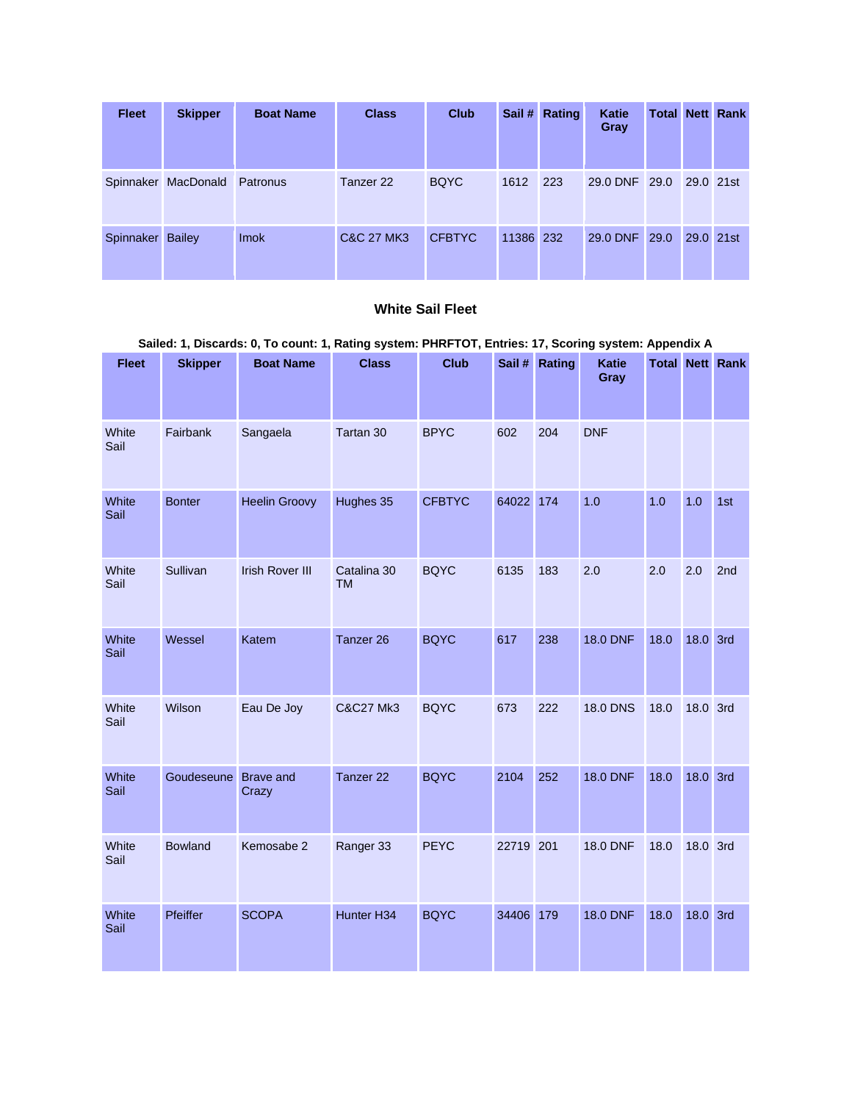| <b>Fleet</b> | <b>Skipper</b>               | <b>Boat Name</b> | <b>Class</b> | <b>Club</b>   |           | Sail # Rating | Katie<br>Gray |           | <b>Total Nett Rank</b> |
|--------------|------------------------------|------------------|--------------|---------------|-----------|---------------|---------------|-----------|------------------------|
|              | Spinnaker MacDonald Patronus |                  | Tanzer 22    | <b>BQYC</b>   | 1612      | 223           | 29.0 DNF 29.0 | 29.0 21st |                        |
| Spinnaker    | <b>Bailey</b>                | <b>Imok</b>      | C&C 27 MK3   | <b>CFBTYC</b> | 11386 232 |               | 29.0 DNF 29.0 | 29.0 21st |                        |

## **White Sail Fleet**

| <b>Fleet</b>  | <b>Skipper</b> | <b>Boat Name</b>          | <b>Class</b>             | <b>Club</b>   | Sail #    | Rating | <b>Katie</b><br>Gray |      |          | <b>Total Nett Rank</b> |
|---------------|----------------|---------------------------|--------------------------|---------------|-----------|--------|----------------------|------|----------|------------------------|
| White<br>Sail | Fairbank       | Sangaela                  | Tartan 30                | <b>BPYC</b>   | 602       | 204    | <b>DNF</b>           |      |          |                        |
| White<br>Sail | <b>Bonter</b>  | <b>Heelin Groovy</b>      | Hughes 35                | <b>CFBTYC</b> | 64022 174 |        | 1.0                  | 1.0  | 1.0      | 1st                    |
| White<br>Sail | Sullivan       | <b>Irish Rover III</b>    | Catalina 30<br><b>TM</b> | <b>BQYC</b>   | 6135      | 183    | 2.0                  | 2.0  | 2.0      | 2nd                    |
| White<br>Sail | Wessel         | Katem                     | Tanzer 26                | <b>BQYC</b>   | 617       | 238    | <b>18.0 DNF</b>      | 18.0 | 18.0 3rd |                        |
| White<br>Sail | Wilson         | Eau De Joy                | <b>C&amp;C27 Mk3</b>     | <b>BQYC</b>   | 673       | 222    | <b>18.0 DNS</b>      | 18.0 | 18.0 3rd |                        |
| White<br>Sail | Goudeseune     | <b>Brave and</b><br>Crazy | Tanzer 22                | <b>BQYC</b>   | 2104      | 252    | <b>18.0 DNF</b>      | 18.0 | 18.0 3rd |                        |
| White<br>Sail | <b>Bowland</b> | Kemosabe 2                | Ranger 33                | <b>PEYC</b>   | 22719 201 |        | <b>18.0 DNF</b>      | 18.0 | 18.0 3rd |                        |
| White<br>Sail | Pfeiffer       | <b>SCOPA</b>              | Hunter H34               | <b>BQYC</b>   | 34406     | 179    | <b>18.0 DNF</b>      | 18.0 | 18.0 3rd |                        |